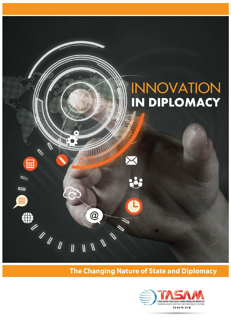# INNOVATION **IN DIPLOMACY TATION** 田 ici Ď L UUUU  $\mathbf{N}$  $\overline{\mathsf{I}}$

## **The Changing Nature of State and Diplomacy**

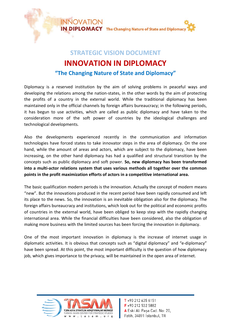

## **STRATEGIC VISION DOCUMENT INNOVATION IN DIPLOMACY "The Changing Nature of State and Diplomacy"**

Diplomacy is a reserved institution by the aim of solving problems in peaceful ways and developing the relations among the nation-states, in the other words by the aim of protecting the profits of a country in the external world. While the traditional diplomacy has been maintained only in the official channels by foreign affairs bureaucracy; in the following periods, it has begun to use activities, which are called as public diplomacy and have taken to the consideration more of the soft power of countries by the ideological challenges and technological developments.

Also the developments experienced recently in the communication and information technologies have forced states to take innovator steps in the area of diplomacy. On the one hand, while the amount of areas and actors, which are subject to the diplomacy, have been increasing, on the other hand diplomacy has had a qualified and structural transition by the concepts such as public diplomacy and soft power. **So, new diplomacy has been transformed into a multi-actor relations system that uses various methods all together over the common points in the profit maximization efforts of actors in a competitive international area.**

The basic qualification modern periods is the innovation. Actually the concept of modern means "new". But the innovations produced in the recent period have been rapidly consumed and left its place to the news. So, the innovation is an inevitable obligation also for the diplomacy. The foreign affairs bureaucracy and institutions, which look out for the political and economic profits of countries in the external world, have been obliged to keep step with the rapidly changing international area. While the financial difficulties have been considered, also the obligation of making more business with the limited sources has been forcing the innovation in diplomacy.

One of the most important innovation in diplomacy is the increase of internet usage in diplomatic activities. It is obvious that concepts such as "digital diplomacy" and "e-diplomacy" have been spread. At this point, the most important difficulty is the question of how diplomacy job, which gives importance to the privacy, will be maintained in the open area of internet.

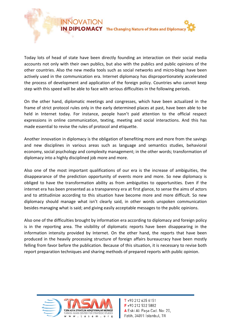

Today lots of head of state have been directly founding an interaction on their social media accounts not only with their own publics, but also with the publics and public opinions of the other countries. Also the new media tools such as social networks and micro-blogs have been actively used in the communication era. Internet diplomacy has disproportionately accelerated the process of development and application of the foreign policy. Countries who cannot keep step with this speed will be able to face with serious difficulties in the following periods.

On the other hand, diplomatic meetings and congresses, which have been actualized in the frame of strict protocol rules only in the early determined places at past, have been able to be held in Internet today. For instance, people hasn't paid attention to the official respect expressions in online communication, texting, meeting and social interactions. And this has made essential to revise the rules of protocol and etiquette.

Another innovation in diplomacy is the obligation of benefiting more and more from the savings and new disciplines in various areas such as language and semantics studies, behavioral economy, social psychology and complexity management; in the other words; transformation of diplomacy into a highly disciplined job more and more.

Also one of the most important qualifications of our era is the increase of ambiguities, the disappearance of the prediction opportunity of events more and more. So new diplomacy is obliged to have the transformation ability as from ambiguities to opportunities. Even if the internet era has been presented as a transparency era at first glance, to sense the aims of actors and to attitudinize according to this situation have become more and more difficult. So new diplomacy should manage what isn't clearly said, in other words unspoken communication besides managing what is said; and giving easily acceptable messages to the public opinions.

Also one of the difficulties brought by information era according to diplomacy and foreign policy is in the reporting area. The visibility of diplomatic reports have been disappearing in the information intensity provided by Internet. On the other hand, the reports that have been produced in the heavily processing structure of foreign affairs bureaucracy have been mostly felling from favor before the publication. Because of this situation, it is necessary to revise both report preparation techniques and sharing methods of prepared reports with public opinion.

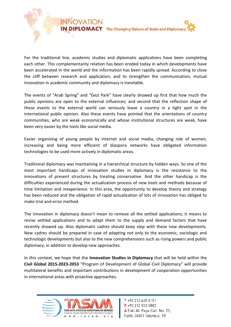

For the traditional line, academic studies and diplomatic applications have been completing each other. This complementarity relation has been eroded today in which developments have been accelerated in the world and the information has been rapidly spread. According to close the cliff between research and application; and to strengthen the communication, mutual innovation in academic community and diplomacy is inevitable.

The events of "Arab Spring" and "Gezi Park" have clearly showed up first that how much the public opinions are open to the external influences; and second that the reflection shape of these events to the external world can seriously leave a country in a tight spot in the international public opinion. Also these events have pointed that the orientations of country communities, who are weak economically and whose institutional structures are weak, have been very easier by the tools like social media.

Easier organizing of young people by internet and social media, changing role of women, increasing and being more efficient of diaspora networks have obligated information technologies to be used more actively in diplomatic areas.

Traditional diplomacy was maintaining in a hierarchical structure by hidden ways. So one of the most important handicaps of innovation studies in diplomacy is the resistance to the innovations of present structures by treating conservative. And the other handicap is the difficulties experienced during the actualization process of new tools and methods because of time limitation and inexperience. In this area, the opportunity to develop theory and strategy has been reduced and the obligation of rapid actualization of lots of innovation has obliged to make trial and error method.

The innovation in diplomacy doesn't mean to remove all the settled applications; it means to revise settled applications and to adapt them to the supply and demand factors that have recently showed up. Also diplomatic cadres should keep step with these new developments. New cadres should be prepared in case of adapting not only to the economic, sociologic and technologic developments but also to the new comprehensions such as rising powers and public diplomacy, in addition to develop new approaches.

In this context, we hope that the **Innovation Studies in Diplomacy** that will be held within the **Civil Global 2015-2023-2053** "Program of Development of Global Civil Diplomacy" will provide multilateral benefits and important contributions in development of cooperation opportunities in international areas with proactive approaches.